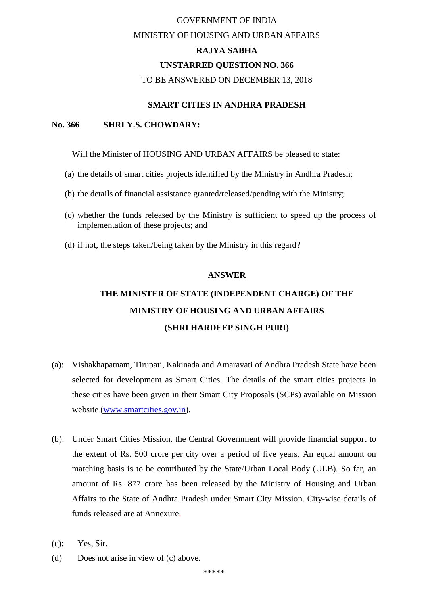# GOVERNMENT OF INDIA MINISTRY OF HOUSING AND URBAN AFFAIRS **RAJYA SABHA UNSTARRED QUESTION NO. 366**

#### TO BE ANSWERED ON DECEMBER 13, 2018

## **SMART CITIES IN ANDHRA PRADESH**

### **No. 366 SHRI Y.S. CHOWDARY:**

Will the Minister of HOUSING AND URBAN AFFAIRS be pleased to state:

- (a) the details of smart cities projects identified by the Ministry in Andhra Pradesh;
- (b) the details of financial assistance granted/released/pending with the Ministry;
- (c) whether the funds released by the Ministry is sufficient to speed up the process of implementation of these projects; and
- (d) if not, the steps taken/being taken by the Ministry in this regard?

#### **ANSWER**

## **THE MINISTER OF STATE (INDEPENDENT CHARGE) OF THE MINISTRY OF HOUSING AND URBAN AFFAIRS (SHRI HARDEEP SINGH PURI)**

- (a): Vishakhapatnam, Tirupati, Kakinada and Amaravati of Andhra Pradesh State have been selected for development as Smart Cities. The details of the smart cities projects in these cities have been given in their Smart City Proposals (SCPs) available on Mission website [\(www.smartcities.gov.in\)](http://www.smartcities.gov.in/).
- (b): Under Smart Cities Mission, the Central Government will provide financial support to the extent of Rs. 500 crore per city over a period of five years. An equal amount on matching basis is to be contributed by the State/Urban Local Body (ULB). So far, an amount of Rs. 877 crore has been released by the Ministry of Housing and Urban Affairs to the State of Andhra Pradesh under Smart City Mission. City-wise details of funds released are at Annexure.
- (c): Yes, Sir.
- (d) Does not arise in view of (c) above.